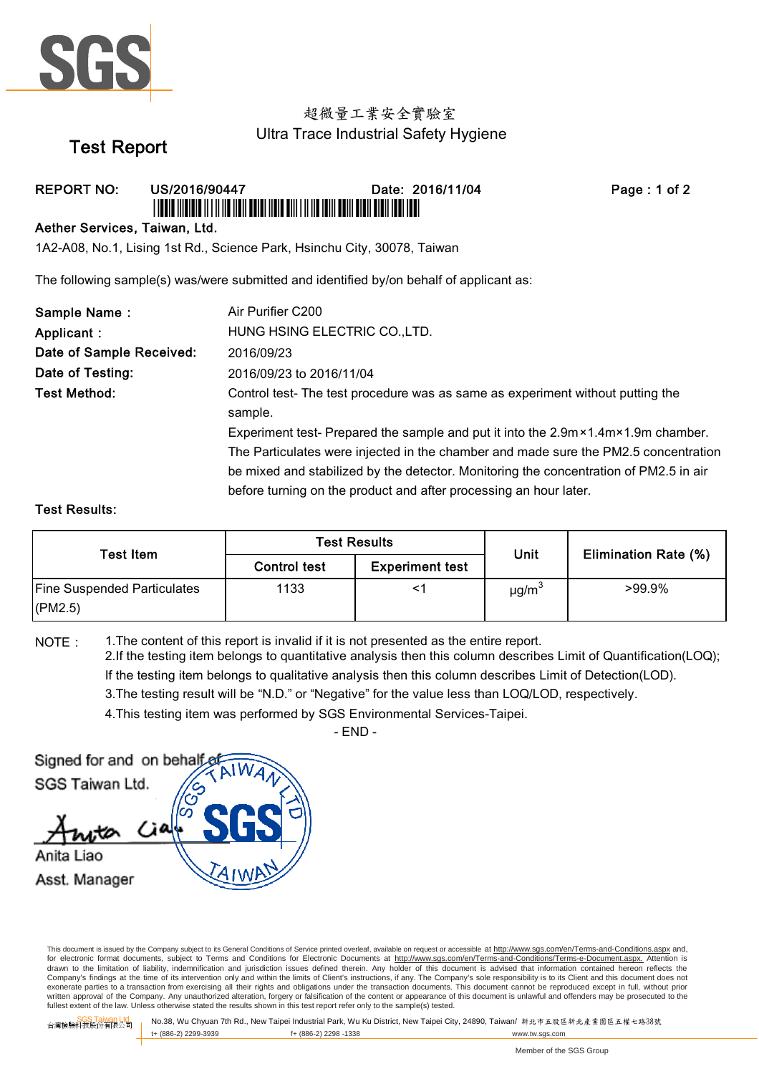

### 超微量工業安全實驗室 Ultra Trace Industrial Safety Hygiene

# Test Report

### REPORT NO: US/2016/90447 Date: 2016/11/04 Page : 1 of 2 \*USFAR AND DIE ALT AU AU AU AU BEAU AND DAT AN ALT AU AU BEAU UND AU BEAU AU DE AU AU AU AU AU AU AU AU AU AU A

#### Aether Services, Taiwan, Ltd.

1A2-A08, No.1, Lising 1st Rd., Science Park, Hsinchu City, 30078, Taiwan

The following sample(s) was/were submitted and identified by/on behalf of applicant as:

| Sample Name:             | Air Purifier C200                                                                                |  |  |  |
|--------------------------|--------------------------------------------------------------------------------------------------|--|--|--|
| Applicant :              | HUNG HSING ELECTRIC CO., LTD.                                                                    |  |  |  |
| Date of Sample Received: | 2016/09/23                                                                                       |  |  |  |
| Date of Testing:         | 2016/09/23 to 2016/11/04                                                                         |  |  |  |
| Test Method:             | Control test-The test procedure was as same as experiment without putting the                    |  |  |  |
|                          | sample.                                                                                          |  |  |  |
|                          | Experiment test- Prepared the sample and put it into the $2.9m \times 1.4m \times 1.9m$ chamber. |  |  |  |
|                          | The Particulates were injected in the chamber and made sure the PM2.5 concentration              |  |  |  |
|                          | be mixed and stabilized by the detector. Monitoring the concentration of PM2.5 in air            |  |  |  |
|                          | before turning on the product and after processing an hour later.                                |  |  |  |

#### Test Results:

| Test Item                                     | <b>Test Results</b> |                        |                        |                             |
|-----------------------------------------------|---------------------|------------------------|------------------------|-----------------------------|
|                                               | <b>Control test</b> | <b>Experiment test</b> | Unit                   | <b>Elimination Rate (%)</b> |
| <b>Fine Suspended Particulates</b><br>(PM2.5) | 1133                |                        | $\mu$ g/m <sup>3</sup> | $>99.9\%$                   |

NOTE: 1.The content of this report is invalid if it is not presented as the entire report.

2.If the testing item belongs to quantitative analysis then this column describes Limit of Quantification(LOQ); If the testing item belongs to qualitative analysis then this column describes Limit of Detection(LOD).

3.The testing result will be "N.D." or "Negative" for the value less than LOQ/LOD, respectively.

4.This testing item was performed by SGS Environmental Services-Taipei.

 $-$  FND  $-$ 

Signed for and on behalf SGS Taiwan Ltd. Anita Liao Asst. Manager

This document is issued by the Company subject to its General Conditions of Service printed overleaf, available on request or accessible at http://www.sgs.com/en/Terms-and-Conditions.aspx and, for electronic format documents, subject to Terms and Conditions for Electronic Documents at http://www.sgs.com/en/Terms-and-Conditions/Terms-e-Document.aspx. Attention is drawn to the limitation of liability, indemnification and jurisdiction issues defined therein. Any holder of this document is advised that information contained hereon reflects the<br>Company's findings at the time of its int exonerate parties to a transaction from exercising all their rights and obligations under the transaction documents. This document cannot be reproduced except in full, without prior written approval of the Company. Any unauthorized alteration, forgery or falsification of the content or appearance of this document is unlawful and offenders may be prosecuted to the<br>fullest extent of the law. Unless othe